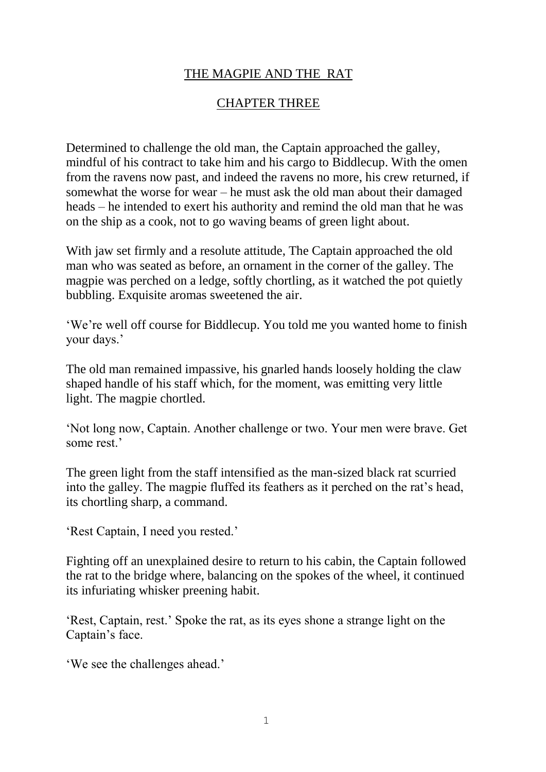## THE MAGPIE AND THE RAT

## CHAPTER THREE

Determined to challenge the old man, the Captain approached the galley, mindful of his contract to take him and his cargo to Biddlecup. With the omen from the ravens now past, and indeed the ravens no more, his crew returned, if somewhat the worse for wear – he must ask the old man about their damaged heads – he intended to exert his authority and remind the old man that he was on the ship as a cook, not to go waving beams of green light about.

With jaw set firmly and a resolute attitude, The Captain approached the old man who was seated as before, an ornament in the corner of the galley. The magpie was perched on a ledge, softly chortling, as it watched the pot quietly bubbling. Exquisite aromas sweetened the air.

'We're well off course for Biddlecup. You told me you wanted home to finish your days.'

The old man remained impassive, his gnarled hands loosely holding the claw shaped handle of his staff which, for the moment, was emitting very little light. The magpie chortled.

'Not long now, Captain. Another challenge or two. Your men were brave. Get some rest.'

The green light from the staff intensified as the man-sized black rat scurried into the galley. The magpie fluffed its feathers as it perched on the rat's head, its chortling sharp, a command.

'Rest Captain, I need you rested.'

Fighting off an unexplained desire to return to his cabin, the Captain followed the rat to the bridge where, balancing on the spokes of the wheel, it continued its infuriating whisker preening habit.

'Rest, Captain, rest.' Spoke the rat, as its eyes shone a strange light on the Captain's face.

'We see the challenges ahead.'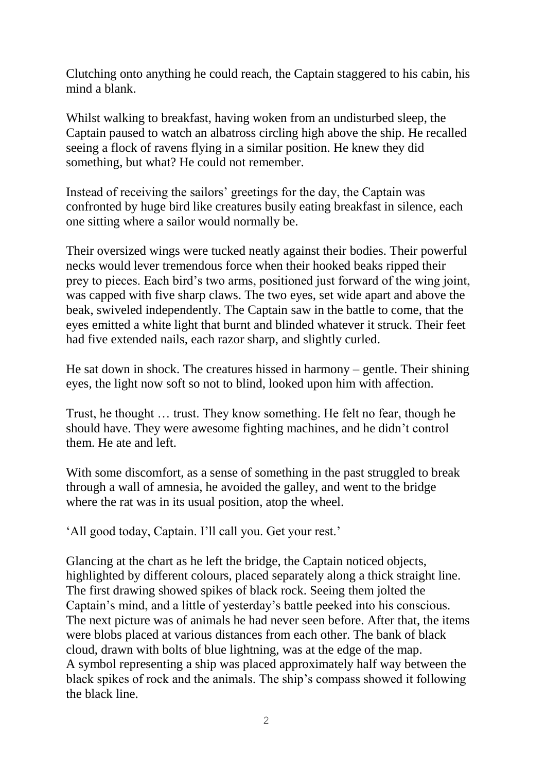Clutching onto anything he could reach, the Captain staggered to his cabin, his mind a blank.

Whilst walking to breakfast, having woken from an undisturbed sleep, the Captain paused to watch an albatross circling high above the ship. He recalled seeing a flock of ravens flying in a similar position. He knew they did something, but what? He could not remember.

Instead of receiving the sailors' greetings for the day, the Captain was confronted by huge bird like creatures busily eating breakfast in silence, each one sitting where a sailor would normally be.

Their oversized wings were tucked neatly against their bodies. Their powerful necks would lever tremendous force when their hooked beaks ripped their prey to pieces. Each bird's two arms, positioned just forward of the wing joint, was capped with five sharp claws. The two eyes, set wide apart and above the beak, swiveled independently. The Captain saw in the battle to come, that the eyes emitted a white light that burnt and blinded whatever it struck. Their feet had five extended nails, each razor sharp, and slightly curled.

He sat down in shock. The creatures hissed in harmony – gentle. Their shining eyes, the light now soft so not to blind, looked upon him with affection.

Trust, he thought … trust. They know something. He felt no fear, though he should have. They were awesome fighting machines, and he didn't control them. He ate and left.

With some discomfort, as a sense of something in the past struggled to break through a wall of amnesia, he avoided the galley, and went to the bridge where the rat was in its usual position, atop the wheel.

'All good today, Captain. I'll call you. Get your rest.'

Glancing at the chart as he left the bridge, the Captain noticed objects, highlighted by different colours, placed separately along a thick straight line. The first drawing showed spikes of black rock. Seeing them jolted the Captain's mind, and a little of yesterday's battle peeked into his conscious. The next picture was of animals he had never seen before. After that, the items were blobs placed at various distances from each other. The bank of black cloud, drawn with bolts of blue lightning, was at the edge of the map. A symbol representing a ship was placed approximately half way between the black spikes of rock and the animals. The ship's compass showed it following the black line.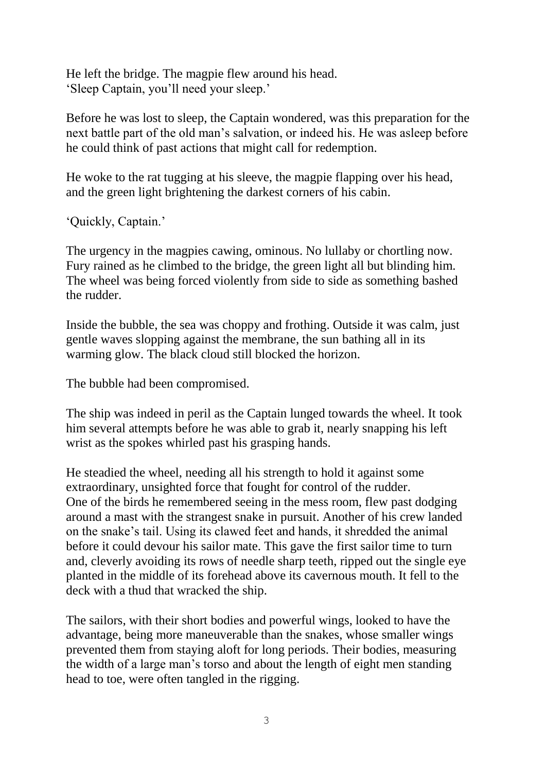He left the bridge. The magpie flew around his head. 'Sleep Captain, you'll need your sleep.'

Before he was lost to sleep, the Captain wondered, was this preparation for the next battle part of the old man's salvation, or indeed his. He was asleep before he could think of past actions that might call for redemption.

He woke to the rat tugging at his sleeve, the magpie flapping over his head, and the green light brightening the darkest corners of his cabin.

'Quickly, Captain.'

The urgency in the magpies cawing, ominous. No lullaby or chortling now. Fury rained as he climbed to the bridge, the green light all but blinding him. The wheel was being forced violently from side to side as something bashed the rudder.

Inside the bubble, the sea was choppy and frothing. Outside it was calm, just gentle waves slopping against the membrane, the sun bathing all in its warming glow. The black cloud still blocked the horizon.

The bubble had been compromised.

The ship was indeed in peril as the Captain lunged towards the wheel. It took him several attempts before he was able to grab it, nearly snapping his left wrist as the spokes whirled past his grasping hands.

He steadied the wheel, needing all his strength to hold it against some extraordinary, unsighted force that fought for control of the rudder. One of the birds he remembered seeing in the mess room, flew past dodging around a mast with the strangest snake in pursuit. Another of his crew landed on the snake's tail. Using its clawed feet and hands, it shredded the animal before it could devour his sailor mate. This gave the first sailor time to turn and, cleverly avoiding its rows of needle sharp teeth, ripped out the single eye planted in the middle of its forehead above its cavernous mouth. It fell to the deck with a thud that wracked the ship.

The sailors, with their short bodies and powerful wings, looked to have the advantage, being more maneuverable than the snakes, whose smaller wings prevented them from staying aloft for long periods. Their bodies, measuring the width of a large man's torso and about the length of eight men standing head to toe, were often tangled in the rigging.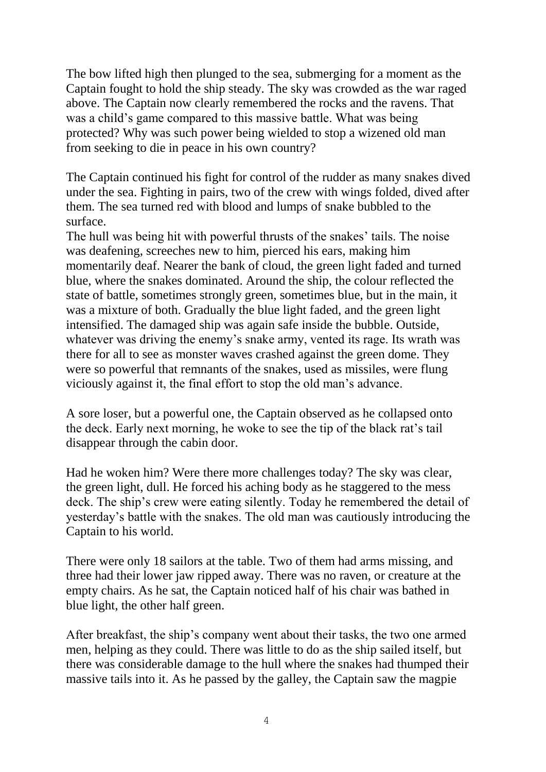The bow lifted high then plunged to the sea, submerging for a moment as the Captain fought to hold the ship steady. The sky was crowded as the war raged above. The Captain now clearly remembered the rocks and the ravens. That was a child's game compared to this massive battle. What was being protected? Why was such power being wielded to stop a wizened old man from seeking to die in peace in his own country?

The Captain continued his fight for control of the rudder as many snakes dived under the sea. Fighting in pairs, two of the crew with wings folded, dived after them. The sea turned red with blood and lumps of snake bubbled to the surface.

The hull was being hit with powerful thrusts of the snakes' tails. The noise was deafening, screeches new to him, pierced his ears, making him momentarily deaf. Nearer the bank of cloud, the green light faded and turned blue, where the snakes dominated. Around the ship, the colour reflected the state of battle, sometimes strongly green, sometimes blue, but in the main, it was a mixture of both. Gradually the blue light faded, and the green light intensified. The damaged ship was again safe inside the bubble. Outside, whatever was driving the enemy's snake army, vented its rage. Its wrath was there for all to see as monster waves crashed against the green dome. They were so powerful that remnants of the snakes, used as missiles, were flung viciously against it, the final effort to stop the old man's advance.

A sore loser, but a powerful one, the Captain observed as he collapsed onto the deck. Early next morning, he woke to see the tip of the black rat's tail disappear through the cabin door.

Had he woken him? Were there more challenges today? The sky was clear, the green light, dull. He forced his aching body as he staggered to the mess deck. The ship's crew were eating silently. Today he remembered the detail of yesterday's battle with the snakes. The old man was cautiously introducing the Captain to his world.

There were only 18 sailors at the table. Two of them had arms missing, and three had their lower jaw ripped away. There was no raven, or creature at the empty chairs. As he sat, the Captain noticed half of his chair was bathed in blue light, the other half green.

After breakfast, the ship's company went about their tasks, the two one armed men, helping as they could. There was little to do as the ship sailed itself, but there was considerable damage to the hull where the snakes had thumped their massive tails into it. As he passed by the galley, the Captain saw the magpie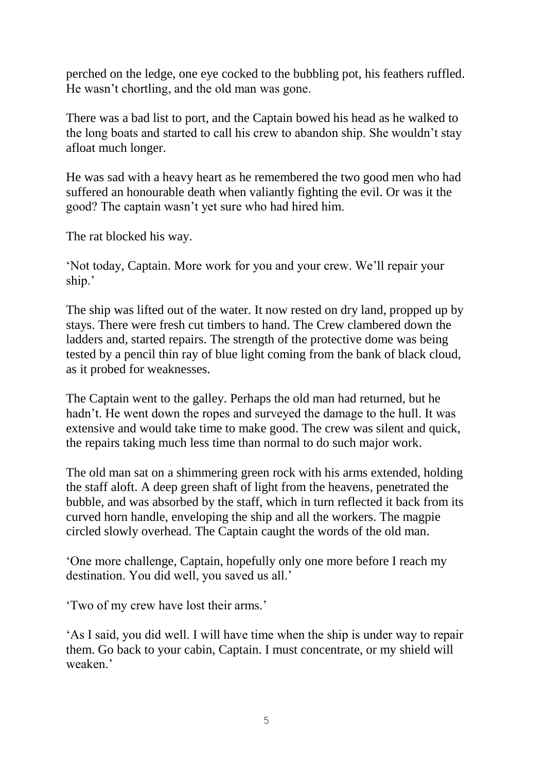perched on the ledge, one eye cocked to the bubbling pot, his feathers ruffled. He wasn't chortling, and the old man was gone.

There was a bad list to port, and the Captain bowed his head as he walked to the long boats and started to call his crew to abandon ship. She wouldn't stay afloat much longer.

He was sad with a heavy heart as he remembered the two good men who had suffered an honourable death when valiantly fighting the evil. Or was it the good? The captain wasn't yet sure who had hired him.

The rat blocked his way.

'Not today, Captain. More work for you and your crew. We'll repair your ship.'

The ship was lifted out of the water. It now rested on dry land, propped up by stays. There were fresh cut timbers to hand. The Crew clambered down the ladders and, started repairs. The strength of the protective dome was being tested by a pencil thin ray of blue light coming from the bank of black cloud, as it probed for weaknesses.

The Captain went to the galley. Perhaps the old man had returned, but he hadn't. He went down the ropes and surveyed the damage to the hull. It was extensive and would take time to make good. The crew was silent and quick, the repairs taking much less time than normal to do such major work.

The old man sat on a shimmering green rock with his arms extended, holding the staff aloft. A deep green shaft of light from the heavens, penetrated the bubble, and was absorbed by the staff, which in turn reflected it back from its curved horn handle, enveloping the ship and all the workers. The magpie circled slowly overhead. The Captain caught the words of the old man.

'One more challenge, Captain, hopefully only one more before I reach my destination. You did well, you saved us all.'

'Two of my crew have lost their arms.'

'As I said, you did well. I will have time when the ship is under way to repair them. Go back to your cabin, Captain. I must concentrate, or my shield will weaken.'